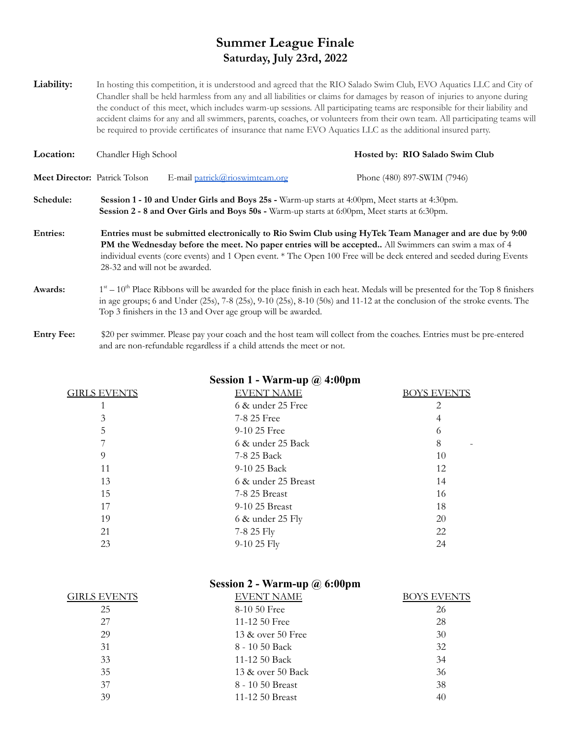## **Summer League Finale Saturday, July 23rd, 2022**

Liability: In hosting this competition, it is understood and agreed that the RIO Salado Swim Club, EVO Aquatics LLC and City of Chandler shall be held harmless from any and all liabilities or claims for damages by reason of injuries to anyone during the conduct of this meet, which includes warm-up sessions. All participating teams are responsible for their liability and accident claims for any and all swimmers, parents, coaches, or volunteers from their own team. All participating teams will be required to provide certificates of insurance that name EVO Aquatics LLC as the additional insured party.

| Location:                            | Chandler High School                                                                                                                                                                           |                                                                                                                                                                                                                                                                                                                                         | Hosted by: RIO Salado Swim Club |  |  |
|--------------------------------------|------------------------------------------------------------------------------------------------------------------------------------------------------------------------------------------------|-----------------------------------------------------------------------------------------------------------------------------------------------------------------------------------------------------------------------------------------------------------------------------------------------------------------------------------------|---------------------------------|--|--|
| <b>Meet Director:</b> Patrick Tolson |                                                                                                                                                                                                | E-mail patrick@rioswimteam.org                                                                                                                                                                                                                                                                                                          | Phone (480) 897-SWIM (7946)     |  |  |
| Schedule:                            | Session 1 - 10 and Under Girls and Boys 25s - Warm-up starts at 4:00pm, Meet starts at 4:30pm.<br>Session 2 - 8 and Over Girls and Boys 50s - Warm-up starts at 6:00pm, Meet starts at 6:30pm. |                                                                                                                                                                                                                                                                                                                                         |                                 |  |  |
| <b>Entries:</b>                      | 28-32 and will not be awarded.                                                                                                                                                                 | Entries must be submitted electronically to Rio Swim Club using HyTek Team Manager and are due by 9:00<br>PM the Wednesday before the meet. No paper entries will be accepted All Swimmers can swim a max of 4<br>individual events (core events) and 1 Open event. * The Open 100 Free will be deck entered and seeded during Events   |                                 |  |  |
| Awards:                              |                                                                                                                                                                                                | $1st - 10th$ Place Ribbons will be awarded for the place finish in each heat. Medals will be presented for the Top 8 finishers<br>in age groups; 6 and Under $(25s)$ , 7-8 $(25s)$ , 9-10 $(25s)$ , 8-10 $(50s)$ and 11-12 at the conclusion of the stroke events. The<br>Top 3 finishers in the 13 and Over age group will be awarded. |                                 |  |  |

**Entry Fee:** \$20 per swimmer. Please pay your coach and the host team will collect from the coaches. Entries must be pre-entered and are non-refundable regardless if a child attends the meet or not.

| <b>GIRLS EVENTS</b> | EVENT NAME        | <b>BOYS EVENTS</b> |
|---------------------|-------------------|--------------------|
|                     | 6 & under 25 Free |                    |
| $\mathbf{\hat{z}}$  | 7-8 25 Free       |                    |
| C.                  | $9-1025$ Free     |                    |
| Ξ,                  | 6 & under 25 Back | 8                  |
| Q                   | 7-8 25 Back       | 10                 |
|                     | 9-10 25 Back      |                    |

13 6 & under 25 Breast 14 15 7-8 25 Breast 16 17 9-10 25 Breast 18 19 6 & under 25 Fly 20 21 7-8 25 Fly 22 23 9-10 25 Fly 24

## **Session 1 - Warm-up @ 4:00pm**

| Session 2 - Warm-up $\omega$ 6:00pm |                   |                    |  |  |  |
|-------------------------------------|-------------------|--------------------|--|--|--|
| <b>GIRLS EVENTS</b>                 | <b>EVENT NAME</b> | <b>BOYS EVENTS</b> |  |  |  |
| 25                                  | 8-10 50 Free      | 26                 |  |  |  |
| 27                                  | 11-12 $50$ Free   | 28                 |  |  |  |
| 29                                  | 13 & over 50 Free | 30                 |  |  |  |
| 31                                  | 8 - 10 50 Back    | 32                 |  |  |  |
| 33                                  | 11-12 50 Back     | 34                 |  |  |  |
| 35                                  | 13 & over 50 Back | 36                 |  |  |  |
| 37                                  | 8 - 10 50 Breast  | 38                 |  |  |  |
| 39                                  | 11-12 50 Breast   | 40                 |  |  |  |